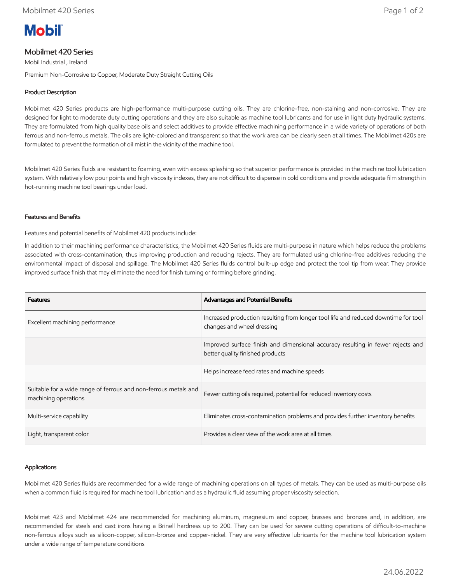# **Mobil**

## Mobilmet 420 Series

Mobil Industrial , Ireland

Premium Non-Corrosive to Copper, Moderate Duty Straight Cutting Oils

### Product Description

Mobilmet 420 Series products are high-performance multi-purpose cutting oils. They are chlorine-free, non-staining and non-corrosive. They are designed for light to moderate duty cutting operations and they are also suitable as machine tool lubricants and for use in light duty hydraulic systems. They are formulated from high quality base oils and select additives to provide effective machining performance in a wide variety of operations of both ferrous and non-ferrous metals. The oils are light-colored and transparent so that the work area can be clearly seen at all times. The Mobilmet 420s are formulated to prevent the formation of oil mist in the vicinity of the machine tool.

Mobilmet 420 Series fluids are resistant to foaming, even with excess splashing so that superior performance is provided in the machine tool lubrication system. With relatively low pour points and high viscosity indexes, they are not difficult to dispense in cold conditions and provide adequate film strength in hot-running machine tool bearings under load.

#### Features and Benefits

Features and potential benefits of Mobilmet 420 products include:

In addition to their machining performance characteristics, the Mobilmet 420 Series fluids are multi-purpose in nature which helps reduce the problems associated with cross-contamination, thus improving production and reducing rejects. They are formulated using chlorine-free additives reducing the environmental impact of disposal and spillage. The Mobilmet 420 Series fluids control built-up edge and protect the tool tip from wear. They provide improved surface finish that may eliminate the need for finish turning or forming before grinding.

| <b>Features</b>                                                                         | <b>Advantages and Potential Benefits</b>                                                                            |
|-----------------------------------------------------------------------------------------|---------------------------------------------------------------------------------------------------------------------|
| Excellent machining performance                                                         | Increased production resulting from longer tool life and reduced downtime for tool<br>changes and wheel dressing    |
|                                                                                         | Improved surface finish and dimensional accuracy resulting in fewer rejects and<br>better quality finished products |
|                                                                                         | Helps increase feed rates and machine speeds                                                                        |
| Suitable for a wide range of ferrous and non-ferrous metals and<br>machining operations | Fewer cutting oils required, potential for reduced inventory costs                                                  |
| Multi-service capability                                                                | Eliminates cross-contamination problems and provides further inventory benefits                                     |
| Light, transparent color                                                                | Provides a clear view of the work area at all times                                                                 |

#### Applications

Mobilmet 420 Series fluids are recommended for a wide range of machining operations on all types of metals. They can be used as multi-purpose oils when a common fluid is required for machine tool lubrication and as a hydraulic fluid assuming proper viscosity selection.

Mobilmet 423 and Mobilmet 424 are recommended for machining aluminum, magnesium and copper, brasses and bronzes and, in addition, are recommended for steels and cast irons having a Brinell hardness up to 200. They can be used for severe cutting operations of difficult-to-machine non-ferrous alloys such as silicon-copper, silicon-bronze and copper-nickel. They are very effective lubricants for the machine tool lubrication system under a wide range of temperature conditions